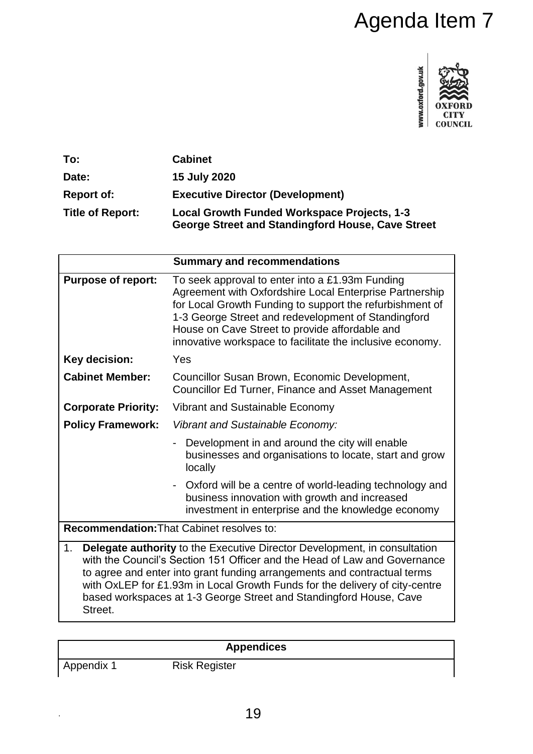

| To:                     | <b>Cabinet</b>                                                                                   |
|-------------------------|--------------------------------------------------------------------------------------------------|
| Date:                   | 15 July 2020                                                                                     |
| <b>Report of:</b>       | <b>Executive Director (Development)</b>                                                          |
| <b>Title of Report:</b> | Local Growth Funded Workspace Projects, 1-3<br>George Street and Standingford House, Cave Street |

|                                                                                                                                                                                                                                                                                                                                                                                                                 | Agenda Item 7                                                                                                                                                                                                                                                                                                                                |  |
|-----------------------------------------------------------------------------------------------------------------------------------------------------------------------------------------------------------------------------------------------------------------------------------------------------------------------------------------------------------------------------------------------------------------|----------------------------------------------------------------------------------------------------------------------------------------------------------------------------------------------------------------------------------------------------------------------------------------------------------------------------------------------|--|
|                                                                                                                                                                                                                                                                                                                                                                                                                 | www.oxford.gov.uk<br>COUNCIL                                                                                                                                                                                                                                                                                                                 |  |
| To:                                                                                                                                                                                                                                                                                                                                                                                                             | <b>Cabinet</b>                                                                                                                                                                                                                                                                                                                               |  |
| Date:                                                                                                                                                                                                                                                                                                                                                                                                           | <b>15 July 2020</b>                                                                                                                                                                                                                                                                                                                          |  |
| <b>Report of:</b>                                                                                                                                                                                                                                                                                                                                                                                               | <b>Executive Director (Development)</b>                                                                                                                                                                                                                                                                                                      |  |
| <b>Title of Report:</b>                                                                                                                                                                                                                                                                                                                                                                                         | Local Growth Funded Workspace Projects, 1-3<br><b>George Street and Standingford House, Cave Street</b>                                                                                                                                                                                                                                      |  |
|                                                                                                                                                                                                                                                                                                                                                                                                                 | <b>Summary and recommendations</b>                                                                                                                                                                                                                                                                                                           |  |
| <b>Purpose of report:</b>                                                                                                                                                                                                                                                                                                                                                                                       | To seek approval to enter into a £1.93m Funding<br>Agreement with Oxfordshire Local Enterprise Partnership<br>for Local Growth Funding to support the refurbishment of<br>1-3 George Street and redevelopment of Standingford<br>House on Cave Street to provide affordable and<br>innovative workspace to facilitate the inclusive economy. |  |
| <b>Key decision:</b>                                                                                                                                                                                                                                                                                                                                                                                            | Yes                                                                                                                                                                                                                                                                                                                                          |  |
| <b>Cabinet Member:</b>                                                                                                                                                                                                                                                                                                                                                                                          | Councillor Susan Brown, Economic Development,<br>Councillor Ed Turner, Finance and Asset Management                                                                                                                                                                                                                                          |  |
| <b>Corporate Priority:</b>                                                                                                                                                                                                                                                                                                                                                                                      | Vibrant and Sustainable Economy                                                                                                                                                                                                                                                                                                              |  |
| <b>Policy Framework:</b>                                                                                                                                                                                                                                                                                                                                                                                        | Vibrant and Sustainable Economy:                                                                                                                                                                                                                                                                                                             |  |
|                                                                                                                                                                                                                                                                                                                                                                                                                 | Development in and around the city will enable<br>businesses and organisations to locate, start and grow<br>locally                                                                                                                                                                                                                          |  |
|                                                                                                                                                                                                                                                                                                                                                                                                                 | Oxford will be a centre of world-leading technology and<br>business innovation with growth and increased<br>investment in enterprise and the knowledge economy                                                                                                                                                                               |  |
| Recommendation: That Cabinet resolves to:                                                                                                                                                                                                                                                                                                                                                                       |                                                                                                                                                                                                                                                                                                                                              |  |
| <b>Delegate authority</b> to the Executive Director Development, in consultation<br>1.<br>with the Council's Section 151 Officer and the Head of Law and Governance<br>to agree and enter into grant funding arrangements and contractual terms<br>with OxLEP for £1.93m in Local Growth Funds for the delivery of city-centre<br>based workspaces at 1-3 George Street and Standingford House, Cave<br>Street. |                                                                                                                                                                                                                                                                                                                                              |  |
|                                                                                                                                                                                                                                                                                                                                                                                                                 |                                                                                                                                                                                                                                                                                                                                              |  |
| <b>Appendices</b>                                                                                                                                                                                                                                                                                                                                                                                               |                                                                                                                                                                                                                                                                                                                                              |  |
| Appendix 1                                                                                                                                                                                                                                                                                                                                                                                                      | <b>Risk Register</b>                                                                                                                                                                                                                                                                                                                         |  |
|                                                                                                                                                                                                                                                                                                                                                                                                                 |                                                                                                                                                                                                                                                                                                                                              |  |
|                                                                                                                                                                                                                                                                                                                                                                                                                 | 19                                                                                                                                                                                                                                                                                                                                           |  |

# **Appendices**

.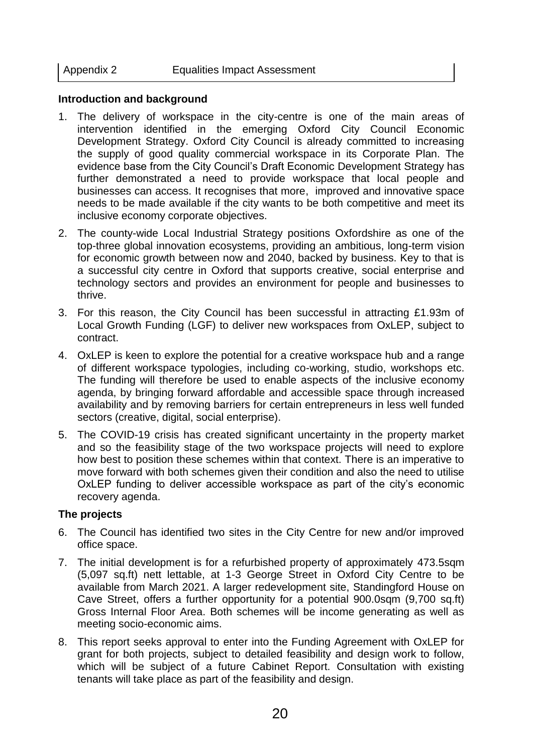#### **Introduction and background**

- 1. The delivery of workspace in the city-centre is one of the main areas of intervention identified in the emerging Oxford City Council Economic Development Strategy. Oxford City Council is already committed to increasing the supply of good quality commercial workspace in its Corporate Plan. The evidence base from the City Council's Draft Economic Development Strategy has further demonstrated a need to provide workspace that local people and businesses can access. It recognises that more, improved and innovative space needs to be made available if the city wants to be both competitive and meet its inclusive economy corporate objectives.
- 2. The county-wide Local Industrial Strategy positions Oxfordshire as one of the top-three global innovation ecosystems, providing an ambitious, long-term vision for economic growth between now and 2040, backed by business. Key to that is a successful city centre in Oxford that supports creative, social enterprise and technology sectors and provides an environment for people and businesses to thrive.
- 3. For this reason, the City Council has been successful in attracting £1.93m of Local Growth Funding (LGF) to deliver new workspaces from OxLEP, subject to contract.
- 4. OxLEP is keen to explore the potential for a creative workspace hub and a range of different workspace typologies, including co-working, studio, workshops etc. The funding will therefore be used to enable aspects of the inclusive economy agenda, by bringing forward affordable and accessible space through increased availability and by removing barriers for certain entrepreneurs in less well funded sectors (creative, digital, social enterprise).
- 5. The COVID-19 crisis has created significant uncertainty in the property market and so the feasibility stage of the two workspace projects will need to explore how best to position these schemes within that context. There is an imperative to move forward with both schemes given their condition and also the need to utilise OxLEP funding to deliver accessible workspace as part of the city's economic recovery agenda.

# **The projects**

- 6. The Council has identified two sites in the City Centre for new and/or improved office space.
- 7. The initial development is for a refurbished property of approximately 473.5sqm (5,097 sq.ft) nett lettable, at 1-3 George Street in Oxford City Centre to be available from March 2021. A larger redevelopment site, Standingford House on Cave Street, offers a further opportunity for a potential 900.0sqm (9,700 sq.ft) Gross Internal Floor Area. Both schemes will be income generating as well as meeting socio-economic aims.
- 8. This report seeks approval to enter into the Funding Agreement with OxLEP for grant for both projects, subject to detailed feasibility and design work to follow, which will be subject of a future Cabinet Report. Consultation with existing tenants will take place as part of the feasibility and design.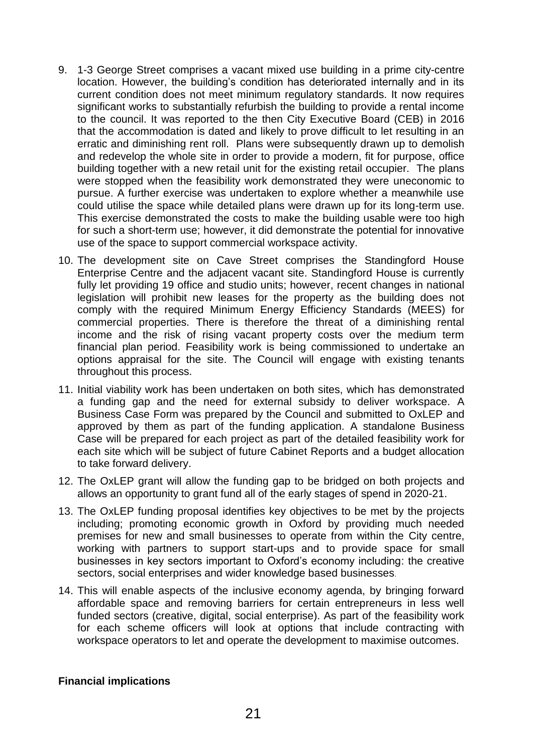- 9. 1-3 George Street comprises a vacant mixed use building in a prime city-centre location. However, the building's condition has deteriorated internally and in its current condition does not meet minimum regulatory standards. It now requires significant works to substantially refurbish the building to provide a rental income to the council. It was reported to the then City Executive Board (CEB) in 2016 that the accommodation is dated and likely to prove difficult to let resulting in an erratic and diminishing rent roll. Plans were subsequently drawn up to demolish and redevelop the whole site in order to provide a modern, fit for purpose, office building together with a new retail unit for the existing retail occupier. The plans were stopped when the feasibility work demonstrated they were uneconomic to pursue. A further exercise was undertaken to explore whether a meanwhile use could utilise the space while detailed plans were drawn up for its long-term use. This exercise demonstrated the costs to make the building usable were too high for such a short-term use; however, it did demonstrate the potential for innovative use of the space to support commercial workspace activity.
- 10. The development site on Cave Street comprises the Standingford House Enterprise Centre and the adjacent vacant site. Standingford House is currently fully let providing 19 office and studio units; however, recent changes in national legislation will prohibit new leases for the property as the building does not comply with the required Minimum Energy Efficiency Standards (MEES) for commercial properties. There is therefore the threat of a diminishing rental income and the risk of rising vacant property costs over the medium term financial plan period. Feasibility work is being commissioned to undertake an options appraisal for the site. The Council will engage with existing tenants throughout this process.
- 11. Initial viability work has been undertaken on both sites, which has demonstrated a funding gap and the need for external subsidy to deliver workspace. A Business Case Form was prepared by the Council and submitted to OxLEP and approved by them as part of the funding application. A standalone Business Case will be prepared for each project as part of the detailed feasibility work for each site which will be subject of future Cabinet Reports and a budget allocation to take forward delivery.
- 12. The OxLEP grant will allow the funding gap to be bridged on both projects and allows an opportunity to grant fund all of the early stages of spend in 2020-21.
- 13. The OxLEP funding proposal identifies key objectives to be met by the projects including; promoting economic growth in Oxford by providing much needed premises for new and small businesses to operate from within the City centre, working with partners to support start-ups and to provide space for small businesses in key sectors important to Oxford's economy including: the creative sectors, social enterprises and wider knowledge based businesses.
- 14. This will enable aspects of the inclusive economy agenda, by bringing forward affordable space and removing barriers for certain entrepreneurs in less well funded sectors (creative, digital, social enterprise). As part of the feasibility work for each scheme officers will look at options that include contracting with workspace operators to let and operate the development to maximise outcomes.

# **Financial implications**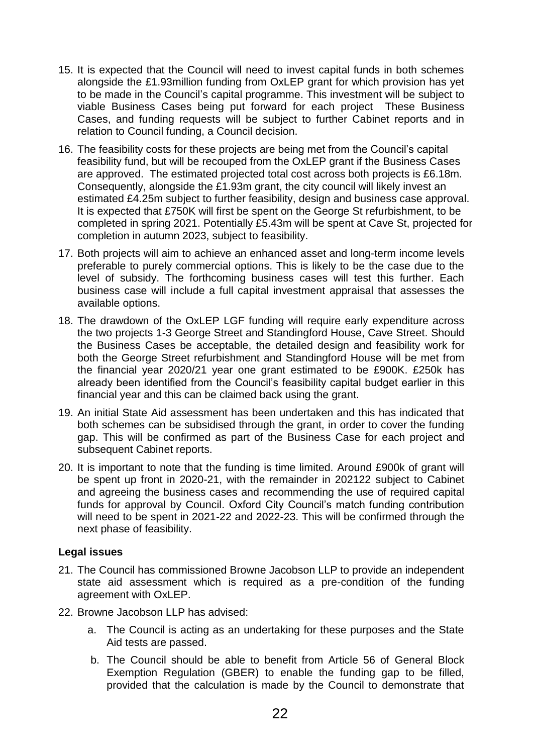- 15. It is expected that the Council will need to invest capital funds in both schemes alongside the £1.93million funding from OxLEP grant for which provision has yet to be made in the Council's capital programme. This investment will be subject to viable Business Cases being put forward for each project These Business Cases, and funding requests will be subject to further Cabinet reports and in relation to Council funding, a Council decision.
- 16. The feasibility costs for these projects are being met from the Council's capital feasibility fund, but will be recouped from the OxLEP grant if the Business Cases are approved. The estimated projected total cost across both projects is £6.18m. Consequently, alongside the £1.93m grant, the city council will likely invest an estimated £4.25m subject to further feasibility, design and business case approval. It is expected that £750K will first be spent on the George St refurbishment, to be completed in spring 2021. Potentially £5.43m will be spent at Cave St, projected for completion in autumn 2023, subject to feasibility.
- 17. Both projects will aim to achieve an enhanced asset and long-term income levels preferable to purely commercial options. This is likely to be the case due to the level of subsidy. The forthcoming business cases will test this further. Each business case will include a full capital investment appraisal that assesses the available options.
- 18. The drawdown of the OxLEP LGF funding will require early expenditure across the two projects 1-3 George Street and Standingford House, Cave Street. Should the Business Cases be acceptable, the detailed design and feasibility work for both the George Street refurbishment and Standingford House will be met from the financial year 2020/21 year one grant estimated to be £900K. £250k has already been identified from the Council's feasibility capital budget earlier in this financial year and this can be claimed back using the grant.
- 19. An initial State Aid assessment has been undertaken and this has indicated that both schemes can be subsidised through the grant, in order to cover the funding gap. This will be confirmed as part of the Business Case for each project and subsequent Cabinet reports.
- 20. It is important to note that the funding is time limited. Around £900k of grant will be spent up front in 2020-21, with the remainder in 202122 subject to Cabinet and agreeing the business cases and recommending the use of required capital funds for approval by Council. Oxford City Council's match funding contribution will need to be spent in 2021-22 and 2022-23. This will be confirmed through the next phase of feasibility.

# **Legal issues**

- 21. The Council has commissioned Browne Jacobson LLP to provide an independent state aid assessment which is required as a pre-condition of the funding agreement with OxLEP.
- 22. Browne Jacobson LLP has advised:
	- a. The Council is acting as an undertaking for these purposes and the State Aid tests are passed.
	- b. The Council should be able to benefit from Article 56 of General Block Exemption Regulation (GBER) to enable the funding gap to be filled, provided that the calculation is made by the Council to demonstrate that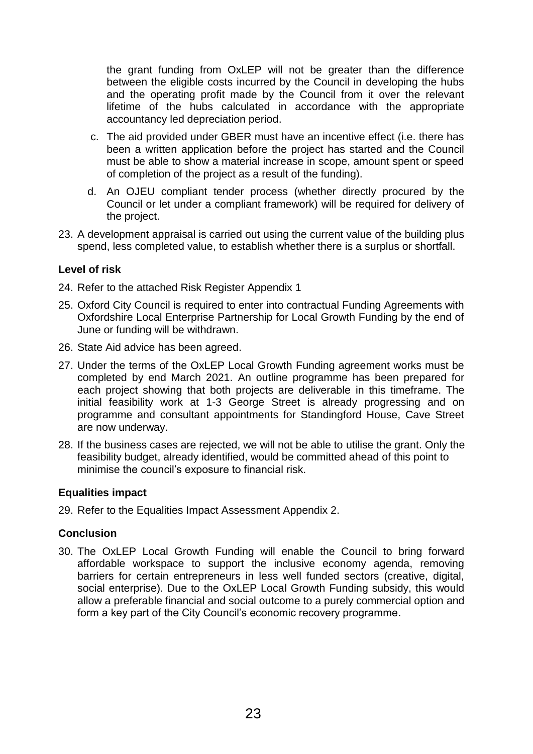the grant funding from OxLEP will not be greater than the difference between the eligible costs incurred by the Council in developing the hubs and the operating profit made by the Council from it over the relevant lifetime of the hubs calculated in accordance with the appropriate accountancy led depreciation period.

- c. The aid provided under GBER must have an incentive effect (i.e. there has been a written application before the project has started and the Council must be able to show a material increase in scope, amount spent or speed of completion of the project as a result of the funding).
- d. An OJEU compliant tender process (whether directly procured by the Council or let under a compliant framework) will be required for delivery of the project.
- 23. A development appraisal is carried out using the current value of the building plus spend, less completed value, to establish whether there is a surplus or shortfall.

# **Level of risk**

- 24. Refer to the attached Risk Register Appendix 1
- 25. Oxford City Council is required to enter into contractual Funding Agreements with Oxfordshire Local Enterprise Partnership for Local Growth Funding by the end of June or funding will be withdrawn.
- 26. State Aid advice has been agreed.
- 27. Under the terms of the OxLEP Local Growth Funding agreement works must be completed by end March 2021. An outline programme has been prepared for each project showing that both projects are deliverable in this timeframe. The initial feasibility work at 1-3 George Street is already progressing and on programme and consultant appointments for Standingford House, Cave Street are now underway.
- 28. If the business cases are rejected, we will not be able to utilise the grant. Only the feasibility budget, already identified, would be committed ahead of this point to minimise the council's exposure to financial risk.

# **Equalities impact**

29. Refer to the Equalities Impact Assessment Appendix 2.

#### **Conclusion**

30. The OxLEP Local Growth Funding will enable the Council to bring forward affordable workspace to support the inclusive economy agenda, removing barriers for certain entrepreneurs in less well funded sectors (creative, digital, social enterprise). Due to the OxLEP Local Growth Funding subsidy, this would allow a preferable financial and social outcome to a purely commercial option and form a key part of the City Council's economic recovery programme.